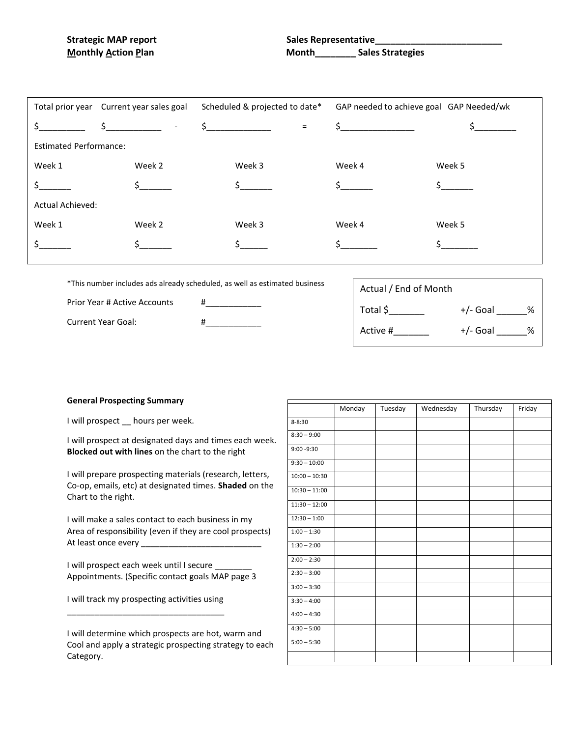|                               | Total prior year Current year sales goal<br>Scheduled & projected to date* |                                           | GAP needed to achieve goal GAP Needed/wk |                   |  |  |
|-------------------------------|----------------------------------------------------------------------------|-------------------------------------------|------------------------------------------|-------------------|--|--|
|                               | $\zeta$ $\zeta$<br>$\overline{\phantom{a}}$                                | $\frac{1}{2}$<br>$=$                      | $\frac{1}{2}$                            |                   |  |  |
| <b>Estimated Performance:</b> |                                                                            |                                           |                                          |                   |  |  |
| Week 1                        | Week 2                                                                     | Week 3                                    | Week 4                                   | Week 5            |  |  |
|                               |                                                                            | $\mathsf{\dot{S}}$ and $\mathsf{\dot{S}}$ |                                          | $S \qquad \qquad$ |  |  |
| <b>Actual Achieved:</b>       |                                                                            |                                           |                                          |                   |  |  |
| Week 1                        | Week 2                                                                     | Week 3                                    | Week 4                                   | Week 5            |  |  |
|                               |                                                                            |                                           |                                          |                   |  |  |

\*This number includes ads already scheduled, as well as estimated business

Prior Year # Active Accounts #\_\_\_\_\_\_\_\_\_\_\_\_

Current Year Goal: #\_\_\_\_\_\_\_\_\_\_\_\_

| Actual / End of Month |                 |
|-----------------------|-----------------|
| Total \$              | $+/-$ Goal<br>℅ |
| Active #              | $+/-$ Goal<br>% |

## **General Prospecting Summary**

I will prospect \_\_ hours per week.

I will prospect at designated days and times each week. **Blocked out with lines** on the chart to the right

I will prepare prospecting materials (research, letters, Co-op, emails, etc) at designated times. **Shaded** on the Chart to the right.

I will make a sales contact to each business in my Area of responsibility (even if they are cool prospects) At least once every \_\_\_\_\_\_\_\_\_\_\_\_\_\_\_\_\_\_\_\_\_\_\_\_\_\_

I will prospect each week until I secure Appointments. (Specific contact goals MAP page 3

I will track my prospecting activities using \_\_\_\_\_\_\_\_\_\_\_\_\_\_\_\_\_\_\_\_\_\_\_\_\_\_\_\_\_\_\_\_\_\_

I will determine which prospects are hot, warm and Cool and apply a strategic prospecting strategy to each Category.

|                 | Monday | Tuesday | Wednesday | Thursday | Friday |
|-----------------|--------|---------|-----------|----------|--------|
| $8 - 8:30$      |        |         |           |          |        |
| $8:30 - 9:00$   |        |         |           |          |        |
| $9:00 - 9:30$   |        |         |           |          |        |
| $9:30 - 10:00$  |        |         |           |          |        |
| $10:00 - 10:30$ |        |         |           |          |        |
| $10:30 - 11:00$ |        |         |           |          |        |
| $11:30 - 12:00$ |        |         |           |          |        |
| $12:30 - 1:00$  |        |         |           |          |        |
| $1:00 - 1:30$   |        |         |           |          |        |
| $1:30 - 2:00$   |        |         |           |          |        |
| $2:00 - 2:30$   |        |         |           |          |        |
| $2:30 - 3:00$   |        |         |           |          |        |
| $3:00 - 3:30$   |        |         |           |          |        |
| $3:30 - 4:00$   |        |         |           |          |        |
| $4:00 - 4:30$   |        |         |           |          |        |
| $4:30 - 5:00$   |        |         |           |          |        |
| $5:00 - 5:30$   |        |         |           |          |        |
|                 |        |         |           |          |        |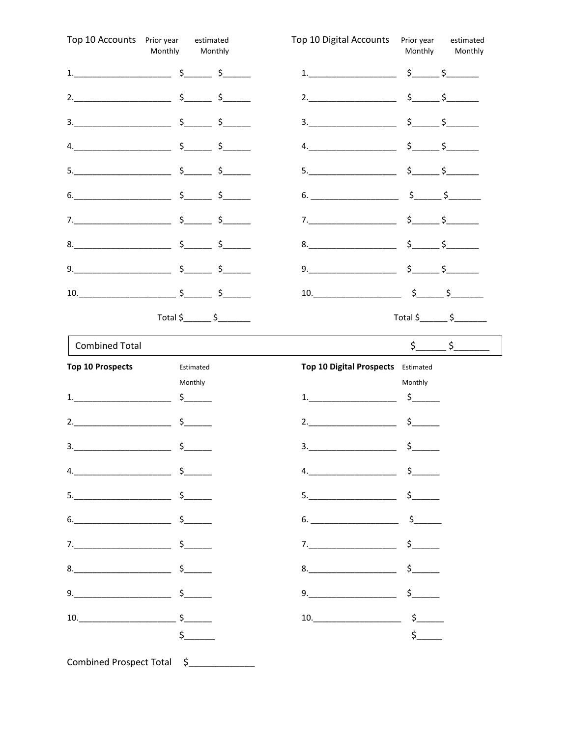| Top 10 Accounts Prior year                                                                                                                                                                                                                                                                                                                                                       | estimated<br>Monthly<br>Monthly                                                                                                                                                                                                                                                                                        | Top 10 Digital Accounts                                                                                                                                                                                                                                                                                                                                                                 | Prior year<br>Monthly    | estimated<br>Monthly                        |
|----------------------------------------------------------------------------------------------------------------------------------------------------------------------------------------------------------------------------------------------------------------------------------------------------------------------------------------------------------------------------------|------------------------------------------------------------------------------------------------------------------------------------------------------------------------------------------------------------------------------------------------------------------------------------------------------------------------|-----------------------------------------------------------------------------------------------------------------------------------------------------------------------------------------------------------------------------------------------------------------------------------------------------------------------------------------------------------------------------------------|--------------------------|---------------------------------------------|
|                                                                                                                                                                                                                                                                                                                                                                                  | 1. $\frac{1}{2}$ $\frac{1}{2}$ $\frac{1}{2}$ $\frac{1}{2}$ $\frac{1}{2}$ $\frac{1}{2}$ $\frac{1}{2}$ $\frac{1}{2}$ $\frac{1}{2}$ $\frac{1}{2}$ $\frac{1}{2}$ $\frac{1}{2}$ $\frac{1}{2}$ $\frac{1}{2}$ $\frac{1}{2}$ $\frac{1}{2}$ $\frac{1}{2}$ $\frac{1}{2}$ $\frac{1}{2}$ $\frac{1}{2}$ $\frac{1}{2}$ $\frac{1}{2}$ | $1.$ $$ $                                                                                                                                                                                                                                                                                                                                                                               |                          |                                             |
|                                                                                                                                                                                                                                                                                                                                                                                  |                                                                                                                                                                                                                                                                                                                        | 2.                                                                                                                                                                                                                                                                                                                                                                                      |                          | $s$ $s$                                     |
| 3.                                                                                                                                                                                                                                                                                                                                                                               | $\frac{\xi}{\xi}$ $\frac{\xi}{\xi}$                                                                                                                                                                                                                                                                                    |                                                                                                                                                                                                                                                                                                                                                                                         |                          | $\frac{\zeta}{\zeta}$ $\frac{\zeta}{\zeta}$ |
|                                                                                                                                                                                                                                                                                                                                                                                  | $4.$ $5.$                                                                                                                                                                                                                                                                                                              | 4.                                                                                                                                                                                                                                                                                                                                                                                      |                          | $\frac{\zeta}{\zeta}$ $\frac{\zeta}{\zeta}$ |
|                                                                                                                                                                                                                                                                                                                                                                                  | $5.$ $\frac{1}{2}$ $\frac{1}{2}$ $\frac{1}{2}$ $\frac{1}{2}$ $\frac{1}{2}$ $\frac{1}{2}$ $\frac{1}{2}$ $\frac{1}{2}$ $\frac{1}{2}$ $\frac{1}{2}$ $\frac{1}{2}$ $\frac{1}{2}$ $\frac{1}{2}$ $\frac{1}{2}$ $\frac{1}{2}$ $\frac{1}{2}$ $\frac{1}{2}$ $\frac{1}{2}$ $\frac{1}{2}$ $\frac{1}{2}$ $\frac{1}{2}$ $\frac{1}{$ | 5.                                                                                                                                                                                                                                                                                                                                                                                      |                          | $\frac{\zeta}{\zeta}$ $\frac{\zeta}{\zeta}$ |
|                                                                                                                                                                                                                                                                                                                                                                                  | $6.$ $$$ $$$                                                                                                                                                                                                                                                                                                           | $6.$ $$$ $$$                                                                                                                                                                                                                                                                                                                                                                            |                          |                                             |
|                                                                                                                                                                                                                                                                                                                                                                                  |                                                                                                                                                                                                                                                                                                                        | 7.                                                                                                                                                                                                                                                                                                                                                                                      |                          | $s$ $s$                                     |
|                                                                                                                                                                                                                                                                                                                                                                                  |                                                                                                                                                                                                                                                                                                                        |                                                                                                                                                                                                                                                                                                                                                                                         |                          | $\frac{\zeta}{\zeta}$ $\frac{\zeta}{\zeta}$ |
|                                                                                                                                                                                                                                                                                                                                                                                  |                                                                                                                                                                                                                                                                                                                        | $9. \underline{\hspace{2cm}0. \hspace{2cm}0. \hspace{2cm}0. \hspace{2cm}0. \hspace{2cm}0. \hspace{2cm}0. \hspace{2cm}0. \hspace{2cm}0. \hspace{2cm}0. \hspace{2cm}0. \hspace{2cm}0. \hspace{2cm}0. \hspace{2cm}0. \hspace{2cm}0. \hspace{2cm}0. \hspace{2cm}0. \hspace{2cm}0. \hspace{2cm}0. \hspace{2cm}0. \hspace{2cm}0. \hspace{2cm}0. \hspace{2cm}0. \hspace{2cm}0. \hspace{2cm}0.$ |                          | $\frac{\zeta}{\zeta}$ $\frac{\zeta}{\zeta}$ |
|                                                                                                                                                                                                                                                                                                                                                                                  | 10. $\frac{1}{2}$ $\frac{1}{2}$ $\frac{1}{2}$ $\frac{1}{2}$ $\frac{1}{2}$ $\frac{1}{2}$                                                                                                                                                                                                                                | $10.$ $$$ $$$                                                                                                                                                                                                                                                                                                                                                                           |                          |                                             |
|                                                                                                                                                                                                                                                                                                                                                                                  | Total $\frac{\zeta_{\text{max}}}{\zeta_{\text{max}}}$                                                                                                                                                                                                                                                                  |                                                                                                                                                                                                                                                                                                                                                                                         |                          | $Total $ \simeq \S$                         |
| <b>Combined Total</b>                                                                                                                                                                                                                                                                                                                                                            |                                                                                                                                                                                                                                                                                                                        |                                                                                                                                                                                                                                                                                                                                                                                         |                          | $\frac{\xi}{\xi}$ $\frac{\xi}{\xi}$         |
| <b>Top 10 Prospects</b>                                                                                                                                                                                                                                                                                                                                                          | Estimated                                                                                                                                                                                                                                                                                                              | Top 10 Digital Prospects Estimated                                                                                                                                                                                                                                                                                                                                                      |                          |                                             |
| $1.$ $\qquad \qquad$ $\qquad \qquad$ $\qquad \qquad$ $\qquad \qquad$ $\qquad \qquad$ $\qquad \qquad$ $\qquad \qquad$ $\qquad \qquad$ $\qquad \qquad$ $\qquad \qquad$ $\qquad \qquad$ $\qquad \qquad$ $\qquad \qquad$ $\qquad \qquad$ $\qquad \qquad$ $\qquad \qquad$ $\qquad$ $\qquad$ $\qquad$ $\qquad$ $\qquad$ $\qquad$ $\qquad$ $\qquad$ $\qquad$ $\qquad$ $\qquad$ $\qquad$ | Monthly<br>$\frac{1}{2}$                                                                                                                                                                                                                                                                                               | 1.                                                                                                                                                                                                                                                                                                                                                                                      | Monthly<br>$\frac{1}{2}$ |                                             |
| 2. $\qquad \qquad$                                                                                                                                                                                                                                                                                                                                                               |                                                                                                                                                                                                                                                                                                                        | 2.                                                                                                                                                                                                                                                                                                                                                                                      | $\frac{1}{2}$            |                                             |
| 3.                                                                                                                                                                                                                                                                                                                                                                               | \$                                                                                                                                                                                                                                                                                                                     | 3.                                                                                                                                                                                                                                                                                                                                                                                      | $\mathsf{S}_-$           |                                             |
| $4.$ $$$                                                                                                                                                                                                                                                                                                                                                                         |                                                                                                                                                                                                                                                                                                                        | $4.$ $$$                                                                                                                                                                                                                                                                                                                                                                                |                          |                                             |
| $5.$ $\frac{1}{2}$ $\frac{1}{2}$ $\frac{1}{2}$ $\frac{1}{2}$ $\frac{1}{2}$ $\frac{1}{2}$ $\frac{1}{2}$ $\frac{1}{2}$ $\frac{1}{2}$ $\frac{1}{2}$ $\frac{1}{2}$ $\frac{1}{2}$ $\frac{1}{2}$ $\frac{1}{2}$ $\frac{1}{2}$ $\frac{1}{2}$ $\frac{1}{2}$ $\frac{1}{2}$ $\frac{1}{2}$ $\frac{1}{2}$ $\frac{1}{2}$ $\frac{1}{$                                                           |                                                                                                                                                                                                                                                                                                                        | $5.$ $$$                                                                                                                                                                                                                                                                                                                                                                                |                          |                                             |
| $6.$ $$$                                                                                                                                                                                                                                                                                                                                                                         |                                                                                                                                                                                                                                                                                                                        |                                                                                                                                                                                                                                                                                                                                                                                         |                          |                                             |
|                                                                                                                                                                                                                                                                                                                                                                                  |                                                                                                                                                                                                                                                                                                                        |                                                                                                                                                                                                                                                                                                                                                                                         |                          |                                             |
| $8.$ $$$                                                                                                                                                                                                                                                                                                                                                                         |                                                                                                                                                                                                                                                                                                                        |                                                                                                                                                                                                                                                                                                                                                                                         |                          |                                             |
| $9.$ $$$                                                                                                                                                                                                                                                                                                                                                                         |                                                                                                                                                                                                                                                                                                                        | $9.$ $$$                                                                                                                                                                                                                                                                                                                                                                                |                          |                                             |
|                                                                                                                                                                                                                                                                                                                                                                                  |                                                                                                                                                                                                                                                                                                                        |                                                                                                                                                                                                                                                                                                                                                                                         |                          |                                             |
| $10.$ $\frac{\text{S}}{\text{S}}$                                                                                                                                                                                                                                                                                                                                                |                                                                                                                                                                                                                                                                                                                        | $10.$ $\frac{\text{S}}{\text{S}}$                                                                                                                                                                                                                                                                                                                                                       |                          |                                             |